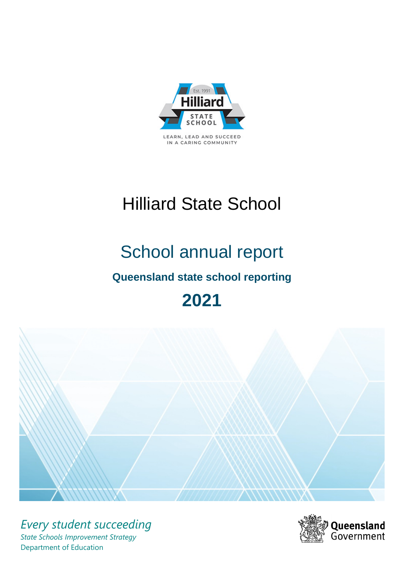

LEARN, LEAD AND SUCCEED IN A CARING COMMUNITY

# Hilliard State School

## School annual report

## **Queensland state school reporting**

## **2021**



*Every student succeeding State Schools Improvement Strategy* Department of Education

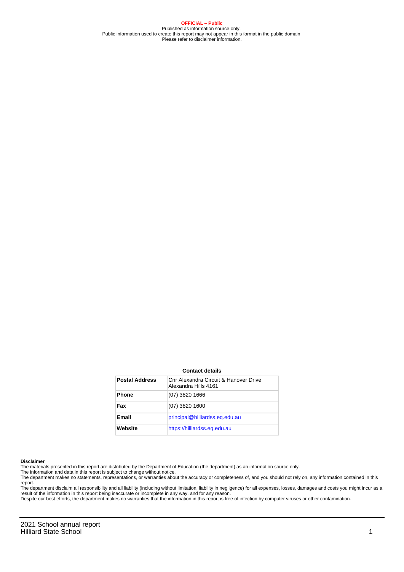**OFFICIAL – Public** Published as information source only. Public information used to create this report may not appear in this format in the public domain Please refer to disclaimer information.

#### **Contact details**

| <b>Postal Address</b> | Cnr Alexandra Circuit & Hanover Drive<br>Alexandra Hills 4161 |
|-----------------------|---------------------------------------------------------------|
| <b>Phone</b>          | $(07)$ 3820 1666                                              |
| Fax                   | $(07)$ 3820 1600                                              |
| Email                 | principal@hilliardss.eq.edu.au                                |
| Website               | https://hilliardss.eq.edu.au                                  |

#### **Disclaimer**

The materials presented in this report are distributed by the Department of Education (the department) as an information source only.

The information and data in this report is subject to change without notice.

The department makes no statements, representations, or warranties about the accuracy or completeness of, and you should not rely on, any information contained in this report.

The department disclaim all responsibility and all liability (including without limitation, liability in negligence) for all expenses, losses, damages and costs you might incur as a<br>result of the information in this report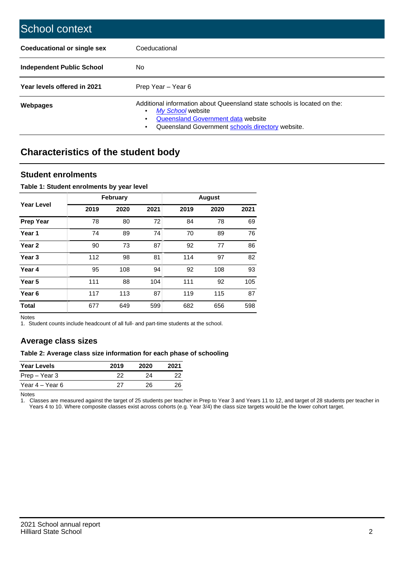| School context                   |                                                                                                                                                                                              |
|----------------------------------|----------------------------------------------------------------------------------------------------------------------------------------------------------------------------------------------|
| Coeducational or single sex      | Coeducational                                                                                                                                                                                |
| <b>Independent Public School</b> | No.                                                                                                                                                                                          |
| Year levels offered in 2021      | Prep Year - Year 6                                                                                                                                                                           |
| Webpages                         | Additional information about Queensland state schools is located on the:<br>My School website<br>Queensland Government data website<br>Queensland Government schools directory website.<br>٠ |

## **Characteristics of the student body**

#### **Student enrolments**

#### **Table 1: Student enrolments by year level**

|                   |      | <b>February</b> |      |      | <b>August</b> |      |
|-------------------|------|-----------------|------|------|---------------|------|
| <b>Year Level</b> | 2019 | 2020            | 2021 | 2019 | 2020          | 2021 |
| <b>Prep Year</b>  | 78   | 80              | 72   | 84   | 78            | 69   |
| Year 1            | 74   | 89              | 74   | 70   | 89            | 76   |
| Year 2            | 90   | 73              | 87   | 92   | 77            | 86   |
| Year <sub>3</sub> | 112  | 98              | 81   | 114  | 97            | 82   |
| Year 4            | 95   | 108             | 94   | 92   | 108           | 93   |
| Year 5            | 111  | 88              | 104  | 111  | 92            | 105  |
| Year <sub>6</sub> | 117  | 113             | 87   | 119  | 115           | 87   |
| <b>Total</b>      | 677  | 649             | 599  | 682  | 656           | 598  |

Notes

1. Student counts include headcount of all full- and part-time students at the school.

### **Average class sizes**

#### **Table 2: Average class size information for each phase of schooling**

| <b>Year Levels</b> | 2019 | 2020 | 2021 |
|--------------------|------|------|------|
| Prep – Year 3      | 22   | 24   | 22   |
| Year 4 – Year 6    | 27   | 26.  | 26   |

Notes

1. Classes are measured against the target of 25 students per teacher in Prep to Year 3 and Years 11 to 12, and target of 28 students per teacher in Years 4 to 10. Where composite classes exist across cohorts (e.g. Year 3/4) the class size targets would be the lower cohort target.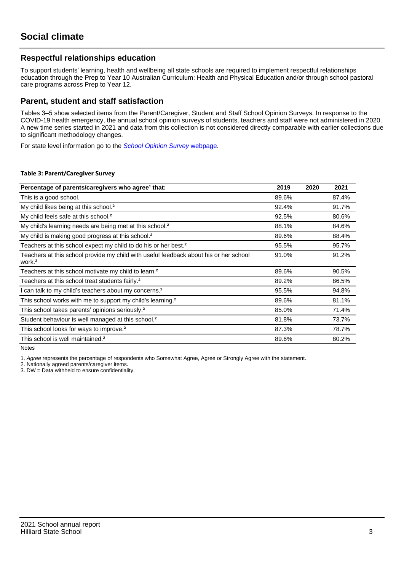#### **Respectful relationships education**

To support students' learning, health and wellbeing all state schools are required to implement respectful relationships education through the Prep to Year 10 Australian Curriculum: Health and Physical Education and/or through school pastoral care programs across Prep to Year 12.

#### **Parent, student and staff satisfaction**

Tables 3–5 show selected items from the Parent/Caregiver, Student and Staff School Opinion Surveys. In response to the COVID-19 health emergency, the annual school opinion surveys of students, teachers and staff were not administered in 2020. A new time series started in 2021 and data from this collection is not considered directly comparable with earlier collections due to significant methodology changes.

For state level information go to the **[School Opinion Survey](https://qed.qld.gov.au/publications/reports/statistics/schooling/schools/schoolopinionsurvey) webpage**.

#### **Table 3: Parent/Caregiver Survey**

| Percentage of parents/caregivers who agree <sup>1</sup> that:                                               | 2019  | 2020 | 2021  |
|-------------------------------------------------------------------------------------------------------------|-------|------|-------|
| This is a good school.                                                                                      | 89.6% |      | 87.4% |
| My child likes being at this school. <sup>2</sup>                                                           | 92.4% |      | 91.7% |
| My child feels safe at this school. <sup>2</sup>                                                            | 92.5% |      | 80.6% |
| My child's learning needs are being met at this school. <sup>2</sup>                                        | 88.1% |      | 84.6% |
| My child is making good progress at this school. <sup>2</sup>                                               | 89.6% |      | 88.4% |
| Teachers at this school expect my child to do his or her best. <sup>2</sup>                                 | 95.5% |      | 95.7% |
| Teachers at this school provide my child with useful feedback about his or her school<br>work. <sup>2</sup> | 91.0% |      | 91.2% |
| Teachers at this school motivate my child to learn. <sup>2</sup>                                            | 89.6% |      | 90.5% |
| Teachers at this school treat students fairly. <sup>2</sup>                                                 | 89.2% |      | 86.5% |
| I can talk to my child's teachers about my concerns. <sup>2</sup>                                           | 95.5% |      | 94.8% |
| This school works with me to support my child's learning. <sup>2</sup>                                      | 89.6% |      | 81.1% |
| This school takes parents' opinions seriously. <sup>2</sup>                                                 | 85.0% |      | 71.4% |
| Student behaviour is well managed at this school. <sup>2</sup>                                              | 81.8% |      | 73.7% |
| This school looks for ways to improve. <sup>2</sup>                                                         | 87.3% |      | 78.7% |
| This school is well maintained. <sup>2</sup>                                                                | 89.6% |      | 80.2% |

Notes

1. Agree represents the percentage of respondents who Somewhat Agree, Agree or Strongly Agree with the statement.

2. Nationally agreed parents/caregiver items.

3. DW = Data withheld to ensure confidentiality.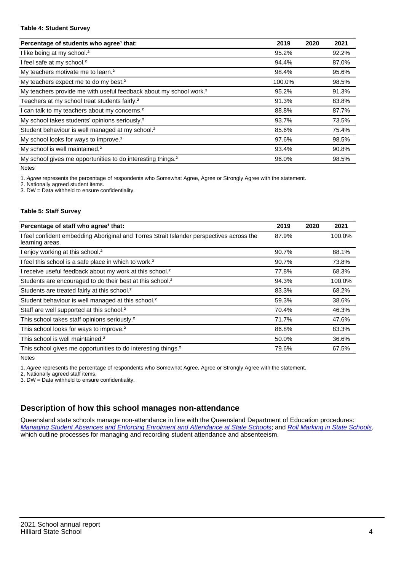#### **Table 4: Student Survey**

| Percentage of students who agree <sup>1</sup> that:                            | 2019   | 2020 | 2021  |
|--------------------------------------------------------------------------------|--------|------|-------|
| I like being at my school. <sup>2</sup>                                        | 95.2%  |      | 92.2% |
| I feel safe at my school. <sup>2</sup>                                         | 94.4%  |      | 87.0% |
| My teachers motivate me to learn. <sup>2</sup>                                 | 98.4%  |      | 95.6% |
| My teachers expect me to do my best. <sup>2</sup>                              | 100.0% |      | 98.5% |
| My teachers provide me with useful feedback about my school work. <sup>2</sup> | 95.2%  |      | 91.3% |
| Teachers at my school treat students fairly. <sup>2</sup>                      | 91.3%  |      | 83.8% |
| I can talk to my teachers about my concerns. <sup>2</sup>                      | 88.8%  |      | 87.7% |
| My school takes students' opinions seriously. <sup>2</sup>                     | 93.7%  |      | 73.5% |
| Student behaviour is well managed at my school. <sup>2</sup>                   | 85.6%  |      | 75.4% |
| My school looks for ways to improve. <sup>2</sup>                              | 97.6%  |      | 98.5% |
| My school is well maintained. <sup>2</sup>                                     | 93.4%  |      | 90.8% |
| My school gives me opportunities to do interesting things. <sup>2</sup>        | 96.0%  |      | 98.5% |

Notes

1. Agree represents the percentage of respondents who Somewhat Agree, Agree or Strongly Agree with the statement.

2. Nationally agreed student items.

3. DW = Data withheld to ensure confidentiality.

#### **Table 5: Staff Survey**

| Percentage of staff who agree <sup>1</sup> that:                                                            | 2019  | 2020 | 2021   |
|-------------------------------------------------------------------------------------------------------------|-------|------|--------|
| I feel confident embedding Aboriginal and Torres Strait Islander perspectives across the<br>learning areas. | 87.9% |      | 100.0% |
| I enjoy working at this school. <sup>2</sup>                                                                | 90.7% |      | 88.1%  |
| I feel this school is a safe place in which to work. <sup>2</sup>                                           | 90.7% |      | 73.8%  |
| I receive useful feedback about my work at this school. <sup>2</sup>                                        | 77.8% |      | 68.3%  |
| Students are encouraged to do their best at this school. <sup>2</sup>                                       | 94.3% |      | 100.0% |
| Students are treated fairly at this school. <sup>2</sup>                                                    | 83.3% |      | 68.2%  |
| Student behaviour is well managed at this school. <sup>2</sup>                                              | 59.3% |      | 38.6%  |
| Staff are well supported at this school. <sup>2</sup>                                                       | 70.4% |      | 46.3%  |
| This school takes staff opinions seriously. <sup>2</sup>                                                    | 71.7% |      | 47.6%  |
| This school looks for ways to improve. <sup>2</sup>                                                         | 86.8% |      | 83.3%  |
| This school is well maintained. <sup>2</sup>                                                                | 50.0% |      | 36.6%  |
| This school gives me opportunities to do interesting things. <sup>2</sup>                                   | 79.6% |      | 67.5%  |

Notes

1. Agree represents the percentage of respondents who Somewhat Agree, Agree or Strongly Agree with the statement.

2. Nationally agreed staff items.

3. DW = Data withheld to ensure confidentiality.

### **Description of how this school manages non-attendance**

Queensland state schools manage non-attendance in line with the Queensland Department of Education procedures: [Managing Student Absences and Enforcing Enrolment and Attendance at State Schools](https://ppr.qed.qld.gov.au/pp/managing-student-absences-and-enforcing-enrolment-and-attendance-at-state-schools-procedure); and [Roll Marking in State Schools,](https://ppr.qed.qld.gov.au/pp/roll-marking-in-state-schools-procedure) which outline processes for managing and recording student attendance and absenteeism.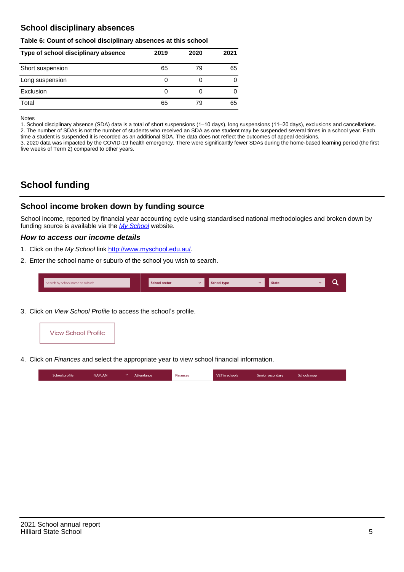### **School disciplinary absences**

#### **Table 6: Count of school disciplinary absences at this school**

| Type of school disciplinary absence | 2019 | 2020 | 2021 |
|-------------------------------------|------|------|------|
| Short suspension                    | 65   | 79   | 65   |
| Long suspension                     | 0    |      | 0    |
| Exclusion                           | 0    |      | 0    |
| Total                               | 65   | 79   | 65   |

Notes

1. School disciplinary absence (SDA) data is a total of short suspensions (1–10 days), long suspensions (11–20 days), exclusions and cancellations. 2. The number of SDAs is not the number of students who received an SDA as one student may be suspended several times in a school year. Each time a student is suspended it is recorded as an additional SDA. The data does not reflect the outcomes of appeal decisions.

3. 2020 data was impacted by the COVID-19 health emergency. There were significantly fewer SDAs during the home-based learning period (the first five weeks of Term 2) compared to other years.

## **School funding**

#### **School income broken down by funding source**

School income, reported by financial year accounting cycle using standardised national methodologies and broken down by funding source is available via the  $My$  School website.

#### **How to access our income details**

- 1. Click on the My School link <http://www.myschool.edu.au/>.
- 2. Enter the school name or suburb of the school you wish to search.

| Search by school name or suburb | <b>School sector</b> | $\sim$ ochool type | <b>State</b> |  |  |
|---------------------------------|----------------------|--------------------|--------------|--|--|
|                                 |                      |                    |              |  |  |

3. Click on View School Profile to access the school's profile.



4. Click on Finances and select the appropriate year to view school financial information.

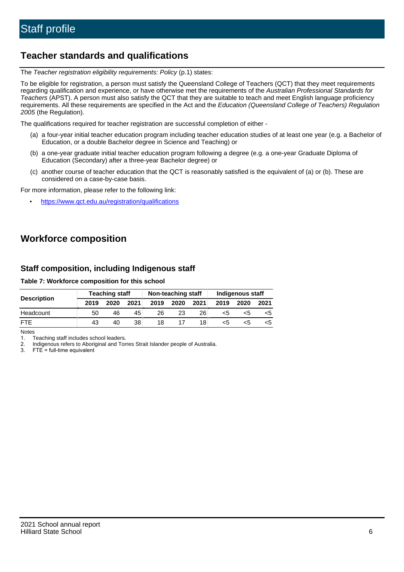## **Teacher standards and qualifications**

The Teacher registration eligibility requirements: Policy (p.1) states:

To be eligible for registration, a person must satisfy the Queensland College of Teachers (QCT) that they meet requirements regarding qualification and experience, or have otherwise met the requirements of the Australian Professional Standards for Teachers (APST). A person must also satisfy the QCT that they are suitable to teach and meet English language proficiency requirements. All these requirements are specified in the Act and the Education (Queensland College of Teachers) Regulation 2005 (the Regulation).

The qualifications required for teacher registration are successful completion of either -

- (a) a four-year initial teacher education program including teacher education studies of at least one year (e.g. a Bachelor of Education, or a double Bachelor degree in Science and Teaching) or
- (b) a one-year graduate initial teacher education program following a degree (e.g. a one-year Graduate Diploma of Education (Secondary) after a three-year Bachelor degree) or
- (c) another course of teacher education that the QCT is reasonably satisfied is the equivalent of (a) or (b). These are considered on a case-by-case basis.

For more information, please refer to the following link:

• <https://www.qct.edu.au/registration/qualifications>

## **Workforce composition**

#### **Staff composition, including Indigenous staff**

#### **Table 7: Workforce composition for this school**

|                    | <b>Teaching staff</b> |      |      | Non-teaching staff |      |                 | Indigenous staff |      |      |
|--------------------|-----------------------|------|------|--------------------|------|-----------------|------------------|------|------|
| <b>Description</b> | 2019                  | 2020 | 2021 | 2019               | 2020 | 2021            | 2019             | 2020 | 2021 |
| Headcount          | 50                    | 46   | 45   | 26                 | 23   | 26              | <5               | <5   |      |
| <b>FTF</b>         | 43                    | 40   | 38   | 18                 |      | 18 <sub>1</sub> | <5               | ה>   |      |

Notes

1. Teaching staff includes school leaders.

2. Indigenous refers to Aboriginal and Torres Strait Islander people of Australia.

3. FTE = full-time equivalent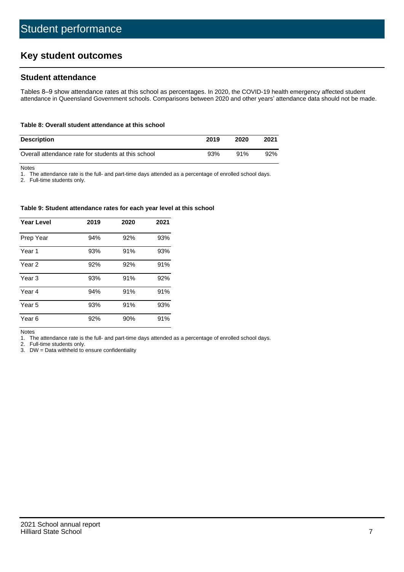## **Key student outcomes**

#### **Student attendance**

Tables 8–9 show attendance rates at this school as percentages. In 2020, the COVID-19 health emergency affected student attendance in Queensland Government schools. Comparisons between 2020 and other years' attendance data should not be made.

#### **Table 8: Overall student attendance at this school**

| <b>Description</b>                                  | 2019 | 2020 | 2021 |
|-----------------------------------------------------|------|------|------|
| Overall attendance rate for students at this school | 93%  | 91%  | 92%  |

Notes

1. The attendance rate is the full- and part-time days attended as a percentage of enrolled school days.

2. Full-time students only.

#### **Table 9: Student attendance rates for each year level at this school**

| <b>Year Level</b> | 2019 | 2020 | 2021 |
|-------------------|------|------|------|
| Prep Year         | 94%  | 92%  | 93%  |
| Year <sub>1</sub> | 93%  | 91%  | 93%  |
| Year 2            | 92%  | 92%  | 91%  |
| Year <sub>3</sub> | 93%  | 91%  | 92%  |
| Year 4            | 94%  | 91%  | 91%  |
| Year 5            | 93%  | 91%  | 93%  |
| Year <sub>6</sub> | 92%  | 90%  | 91%  |

Notes

1. The attendance rate is the full- and part-time days attended as a percentage of enrolled school days.

2. Full-time students only.

3. DW = Data withheld to ensure confidentiality